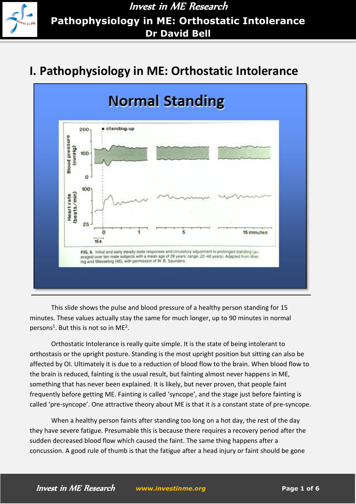

Invest in ME Research **Pathophysiology in ME: Orthostatic Intolerance Dr David Bell**

## **I. Pathophysiology in ME: Orthostatic Intolerance**



This slide shows the pulse and blood pressure of a healthy person standing for 15 minutes. These values actually stay the same for much longer, up to 90 minutes in normal persons<sup>[1](#page-4-0)</sup>. But this is not so in ME<sup>[2](#page-4-1)</sup>.

Orthostatic Intolerance is really quite simple. It is the state of being intolerant to orthostasis or the upright posture. Standing is the most upright position but sitting can also be affected by OI. Ultimately it is due to a reduction of blood flow to the brain. When blood flow to the brain is reduced, fainting is the usual result, but fainting almost never happens in ME, something that has never been explained. It is likely, but never proven, that people faint frequently before getting ME. Fainting is called 'syncope', and the stage just before fainting is called 'pre-syncope'. One attractive theory about ME is that it is a constant state of pre-syncope.

When a healthy person faints after standing too long on a hot day, the rest of the day they have severe fatigue. Presumable this is because there requires a recovery period after the sudden decreased blood flow which caused the faint. The same thing happens after a concussion. A good rule of thumb is that the fatigue after a head injury or faint should be gone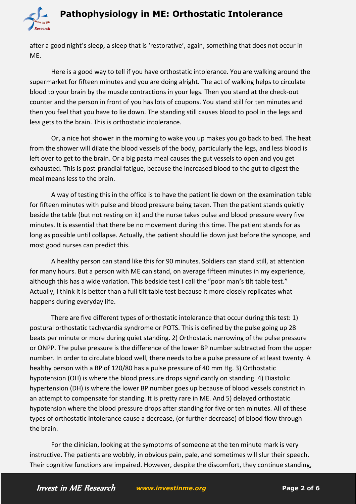## **Pathophysiology in ME: Orthostatic Intolerance**



after a good night's sleep, a sleep that is 'restorative', again, something that does not occur in ME.

Here is a good way to tell if you have orthostatic intolerance. You are walking around the supermarket for fifteen minutes and you are doing alright. The act of walking helps to circulate blood to your brain by the muscle contractions in your legs. Then you stand at the check-out counter and the person in front of you has lots of coupons. You stand still for ten minutes and then you feel that you have to lie down. The standing still causes blood to pool in the legs and less gets to the brain. This is orthostatic intolerance.

Or, a nice hot shower in the morning to wake you up makes you go back to bed. The heat from the shower will dilate the blood vessels of the body, particularly the legs, and less blood is left over to get to the brain. Or a big pasta meal causes the gut vessels to open and you get exhausted. This is post-prandial fatigue, because the increased blood to the gut to digest the meal means less to the brain.

A way of testing this in the office is to have the patient lie down on the examination table for fifteen minutes with pulse and blood pressure being taken. Then the patient stands quietly beside the table (but not resting on it) and the nurse takes pulse and blood pressure every five minutes. It is essential that there be no movement during this time. The patient stands for as long as possible until collapse. Actually, the patient should lie down just before the syncope, and most good nurses can predict this.

A healthy person can stand like this for 90 minutes. Soldiers can stand still, at attention for many hours. But a person with ME can stand, on average fifteen minutes in my experience, although this has a wide variation. This bedside test I call the "poor man's tilt table test." Actually, I think it is better than a full tilt table test because it more closely replicates what happens during everyday life.

There are five different types of orthostatic intolerance that occur during this test: 1) postural orthostatic tachycardia syndrome or POTS. This is defined by the pulse going up 28 beats per minute or more during quiet standing. 2) Orthostatic narrowing of the pulse pressure or ONPP. The pulse pressure is the difference of the lower BP number subtracted from the upper number. In order to circulate blood well, there needs to be a pulse pressure of at least twenty. A healthy person with a BP of 120/80 has a pulse pressure of 40 mm Hg. 3) Orthostatic hypotension (OH) is where the blood pressure drops significantly on standing. 4) Diastolic hypertension (DH) is where the lower BP number goes up because of blood vessels constrict in an attempt to compensate for standing. It is pretty rare in ME. And 5) delayed orthostatic hypotension where the blood pressure drops after standing for five or ten minutes. All of these types of orthostatic intolerance cause a decrease, (or further decrease) of blood flow through the brain.

For the clinician, looking at the symptoms of someone at the ten minute mark is very instructive. The patients are wobbly, in obvious pain, pale, and sometimes will slur their speech. Their cognitive functions are impaired. However, despite the discomfort, they continue standing,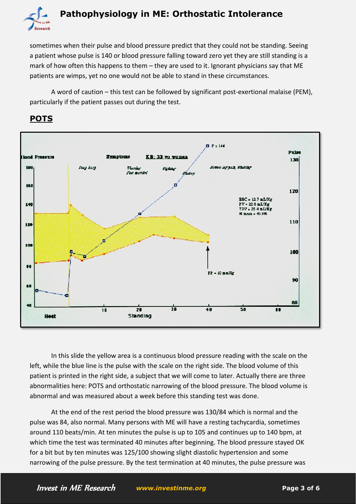

sometimes when their pulse and blood pressure predict that they could not be standing. Seeing a patient whose pulse is 140 or blood pressure falling toward zero yet they are still standing is a mark of how often this happens to them – they are used to it. Ignorant physicians say that ME patients are wimps, yet no one would not be able to stand in these circumstances.

A word of caution – this test can be followed by significant post-exertional malaise (PEM), particularly if the patient passes out during the test.



## **POTS**

In this slide the yellow area is a continuous blood pressure reading with the scale on the left, while the blue line is the pulse with the scale on the right side. The blood volume of this patient is printed in the right side, a subject that we will come to later. Actually there are three abnormalities here: POTS and orthostatic narrowing of the blood pressure. The blood volume is abnormal and was measured about a week before this standing test was done.

At the end of the rest period the blood pressure was 130/84 which is normal and the pulse was 84, also normal. Many persons with ME will have a resting tachycardia, sometimes around 110 beats/min. At ten minutes the pulse is up to 105 and continues up to 140 bpm, at which time the test was terminated 40 minutes after beginning. The blood pressure stayed OK for a bit but by ten minutes was 125/100 showing slight diastolic hypertension and some narrowing of the pulse pressure. By the test termination at 40 minutes, the pulse pressure was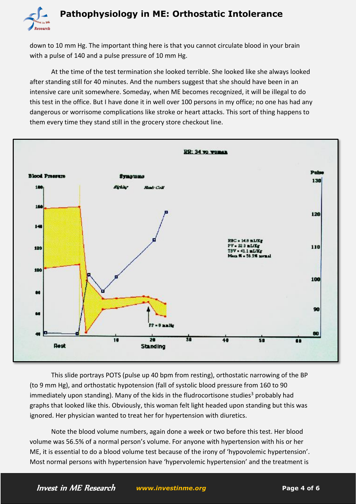

down to 10 mm Hg. The important thing here is that you cannot circulate blood in your brain with a pulse of 140 and a pulse pressure of 10 mm Hg.

At the time of the test termination she looked terrible. She looked like she always looked after standing still for 40 minutes. And the numbers suggest that she should have been in an intensive care unit somewhere. Someday, when ME becomes recognized, it will be illegal to do this test in the office. But I have done it in well over 100 persons in my office; no one has had any dangerous or worrisome complications like stroke or heart attacks. This sort of thing happens to them every time they stand still in the grocery store checkout line.



This slide portrays POTS (pulse up 40 bpm from resting), orthostatic narrowing of the BP (to 9 mm Hg), and orthostatic hypotension (fall of systolic blood pressure from 160 to 90 immediately upon standing). Many of the kids in the fludrocortisone studies<sup>[3](#page-4-2)</sup> probably had graphs that looked like this. Obviously, this woman felt light headed upon standing but this was ignored. Her physician wanted to treat her for hypertension with diuretics.

Note the blood volume numbers, again done a week or two before this test. Her blood volume was 56.5% of a normal person's volume. For anyone with hypertension with his or her ME, it is essential to do a blood volume test because of the irony of 'hypovolemic hypertension'. Most normal persons with hypertension have 'hypervolemic hypertension' and the treatment is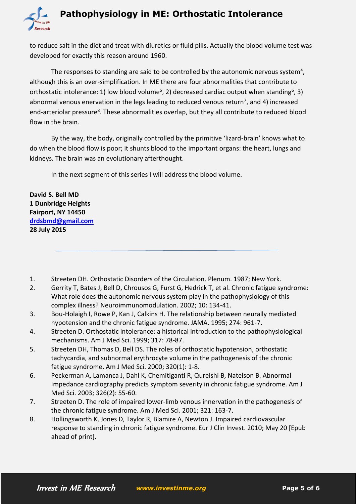

to reduce salt in the diet and treat with diuretics or fluid pills. Actually the blood volume test was developed for exactly this reason around 1960.

The responses to standing are said to be controlled by the autonomic nervous system<sup>[4](#page-4-3)</sup>, although this is an over-simplification. In ME there are four abnormalities that contribute to orthostatic intolerance: 1) low blood volume<sup>[5](#page-4-4)</sup>, 2) decreased cardiac output when standing<sup>[6](#page-4-5)</sup>, 3) abnormal venous enervation in the legs leading to reduced venous return<sup>[7](#page-4-6)</sup>, and 4) increased end-arteriolar pressure<sup>[8](#page-4-7)</sup>. These abnormalities overlap, but they all contribute to reduced blood flow in the brain.

By the way, the body, originally controlled by the primitive 'lizard-brain' knows what to do when the blood flow is poor; it shunts blood to the important organs: the heart, lungs and kidneys. The brain was an evolutionary afterthought.

In the next segment of this series I will address the blood volume.

**David S. Bell MD 1 Dunbridge Heights Fairport, NY 14450 [drdsbmd@gmail.com](mailto:drdsbmd@gmail.com) 28 July 2015**

- <span id="page-4-0"></span>1. Streeten DH. Orthostatic Disorders of the Circulation. Plenum. 1987; New York.
- <span id="page-4-1"></span>2. Gerrity T, Bates J, Bell D, Chrousos G, Furst G, Hedrick T, et al. Chronic fatigue syndrome: What role does the autonomic nervous system play in the pathophysiology of this complex illness? Neuroimmunomodulation. 2002; 10: 134-41.
- <span id="page-4-2"></span>3. Bou-Holaigh I, Rowe P, Kan J, Calkins H. The relationship between neurally mediated hypotension and the chronic fatigue syndrome. JAMA. 1995; 274: 961-7.
- <span id="page-4-3"></span>4. Streeten D. Orthostatic intolerance: a historical introduction to the pathophysiological mechanisms. Am J Med Sci. 1999; 317: 78-87.
- <span id="page-4-4"></span>5. Streeten DH, Thomas D, Bell DS. The roles of orthostatic hypotension, orthostatic tachycardia, and subnormal erythrocyte volume in the pathogenesis of the chronic fatigue syndrome. Am J Med Sci. 2000; 320(1): 1-8.
- <span id="page-4-5"></span>6. Peckerman A, Lamanca J, Dahl K, Chemitiganti R, Qureishi B, Natelson B. Abnormal Impedance cardiography predicts symptom severity in chronic fatigue syndrome. Am J Med Sci. 2003; 326(2): 55-60.
- <span id="page-4-6"></span>7. Streeten D. The role of impaired lower-limb venous innervation in the pathogenesis of the chronic fatigue syndrome. Am J Med Sci. 2001; 321: 163-7.
- <span id="page-4-7"></span>8. Hollingsworth K, Jones D, Taylor R, Blamire A, Newton J. Impaired cardiovascular response to standing in chronic fatigue syndrome. Eur J Clin Invest. 2010; May 20 [Epub ahead of print].